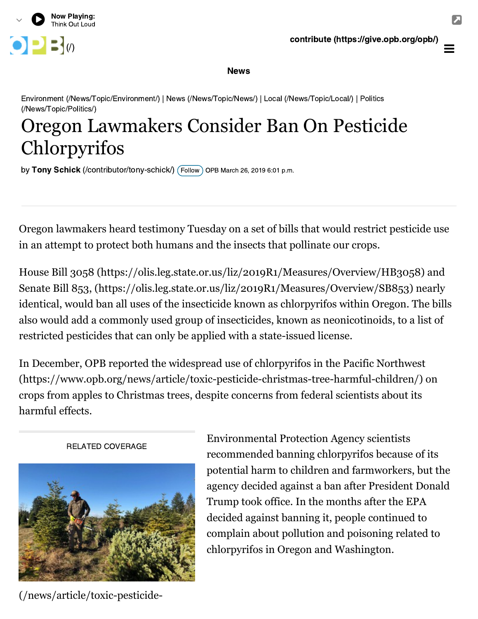

 $\equiv$ 

## News

[Environment \(/News/Topic/Environment/\) | News \(/News/Topic/News/\) | Local \(/News/Topic/Local/\) | Politics](https://www.opb.org/news/topic/politics/) (/News/Topic/Politics/)

## Oregon Lawmakers Consider Ban On Pesticide Chlorpyrifos

by **Tony Schick** (/contributor/tony-schick/)  $($  Follow $)$  OPB March 26, 2019 6:01 p.m.

Oregon lawmakers heard testimony Tuesday on a set of bills that would restrict pesticide use in an attempt to protect both humans and the insects that pollinate our crops.

[House Bill 3058 \(https://olis.leg.state.or.us/liz/2019R1/Measures/Overview/HB3058\)](https://olis.leg.state.or.us/liz/2019R1/Measures/Overview/HB3058) and [Senate Bill 853, \(https://olis.leg.state.or.us/liz/2019R1/Measures/Overview/SB853\)](https://olis.leg.state.or.us/liz/2019R1/Measures/Overview/SB853) nearly identical, would ban all uses of the insecticide known as chlorpyrifos within Oregon. The bills also would add a commonly used group of insecticides, known as neonicotinoids, to a list of restricted pesticides that can only be applied with a state-issued license.

In December, OPB reported the widespread use of chlorpyrifos in the Pacific Northwest [\(https://www.opb.org/news/article/toxic-pesticide-christmas-tree-harmful-children/\)](https://www.opb.org/news/article/toxic-pesticide-christmas-tree-harmful-children/) on crops from apples to Christmas trees, despite concerns from federal scientists about its harmful effects.



[\(/news/article/toxic-pesticide-](https://www.opb.org/news/article/toxic-pesticide-christmas-tree-harmful-children/)

Environmental Protection Agency scientists recommended banning chlorpyrifos because of its potential harm to children and farmworkers, but the agency decided against a ban after President Donald Trump took office. In the months after the EPA decided against banning it, people continued to complain about pollution and poisoning related to chlorpyrifos in Oregon and Washington.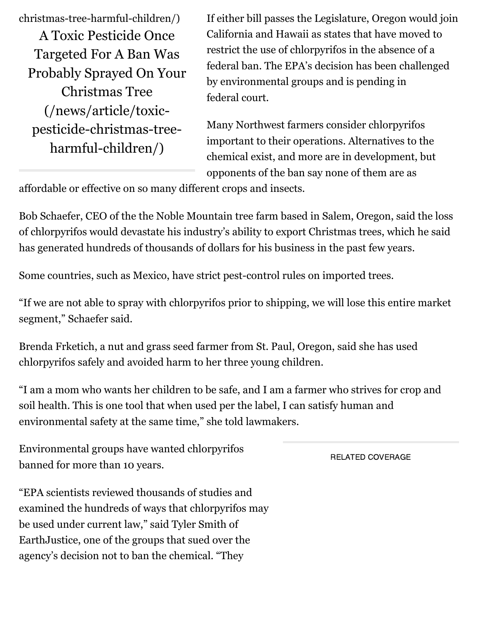[christmas-tree-harmful-children/\)](https://www.opb.org/news/article/toxic-pesticide-christmas-tree-harmful-children/) A Toxic Pesticide Once Targeted For A Ban Was [Probably Sprayed On Your](https://www.opb.org/news/article/toxic-pesticide-christmas-tree-harmful-children/) Christmas Tree (/news/article/toxicpesticide-christmas-treeharmful-children/)

If either bill passes the Legislature, Oregon would join California and Hawaii as states that have moved to restrict the use of chlorpyrifos in the absence of a federal ban. The EPA's decision has been challenged by environmental groups and is pending in federal court.

Many Northwest farmers consider chlorpyrifos important to their operations. Alternatives to the chemical exist, and more are in development, but opponents of the ban say none of them are as

affordable or effective on so many different crops and insects.

Bob Schaefer, CEO of the the Noble Mountain tree farm based in Salem, Oregon, said the loss of chlorpyrifos would devastate his industry's ability to export Christmas trees, which he said has generated hundreds of thousands of dollars for his business in the past few years.

Some countries, such as Mexico, have strict pest-control rules on imported trees.

"If we are not able to spray with chlorpyrifos prior to shipping, we will lose this entire market segment," Schaefer said.

Brenda Frketich, a nut and grass seed farmer from St. Paul, Oregon, said she has used chlorpyrifos safely and avoided harm to her three young children.

"I am a mom who wants her children to be safe, and I am a farmer who strives for crop and soil health. This is one tool that when used per the label, I can satisfy human and environmental safety at the same time," she told lawmakers.

Environmental groups have wanted chlorpyrifos banned for more than 10 years.

"EPA scientists reviewed thousands of studies and examined the hundreds of ways that chlorpyrifos may be used under current law," said Tyler Smith of EarthJustice, one of the groups that sued over the agency's decision not to ban the chemical. "They

RELATED COVERAGE